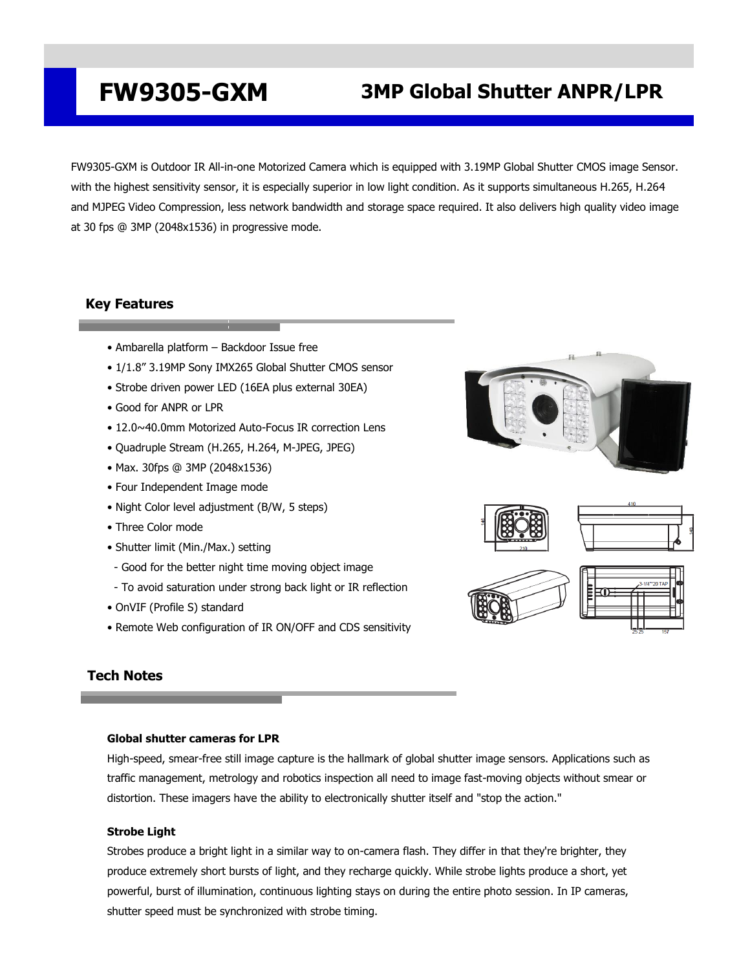# **FW9305-GXM 3MP Global Shutter ANPR/LPR**

FW9305-GXM is Outdoor IR All-in-one Motorized Camera which is equipped with 3.19MP Global Shutter CMOS image Sensor. with the highest sensitivity sensor, it is especially superior in low light condition. As it supports simultaneous H.265, H.264 and MJPEG Video Compression, less network bandwidth and storage space required. It also delivers high quality video image at 30 fps @ 3MP (2048x1536) in progressive mode.

## **Key Features**

- Ambarella platform Backdoor Issue free
- 1/1.8" 3.19MP Sony IMX265 Global Shutter CMOS sensor
- Strobe driven power LED (16EA plus external 30EA)
- Good for ANPR or LPR
- 12.0~40.0mm Motorized Auto-Focus IR correction Lens
- Quadruple Stream (H.265, H.264, M-JPEG, JPEG)
- Max. 30fps @ 3MP (2048x1536)
- Four Independent Image mode
- Night Color level adjustment (B/W, 5 steps)
- Three Color mode
- Shutter limit (Min./Max.) setting
- Good for the better night time moving object image
- To avoid saturation under strong back light or IR reflection
- OnVIF (Profile S) standard
- Remote Web configuration of IR ON/OFF and CDS sensitivity





# **Tech Notes**

### **Global shutter cameras for LPR**

High-speed, smear-free still image capture is the hallmark of global shutter image sensors. Applications such as traffic management, metrology and robotics inspection all need to image fast-moving objects without smear or distortion. These imagers have the ability to electronically shutter itself and "stop the action."

### **Strobe Light**

Strobes produce a bright light in a similar way to on-camera flash. They differ in that they're brighter, they produce extremely short bursts of light, and they recharge quickly. While strobe lights produce a short, yet powerful, burst of illumination, [continuous lighting](https://www.bhphotovideo.com/c/browse/continuous-lighting/ci/22521/N/3988592086) stays on during the entire photo session. In IP cameras, shutter speed must be synchronized with strobe timing.